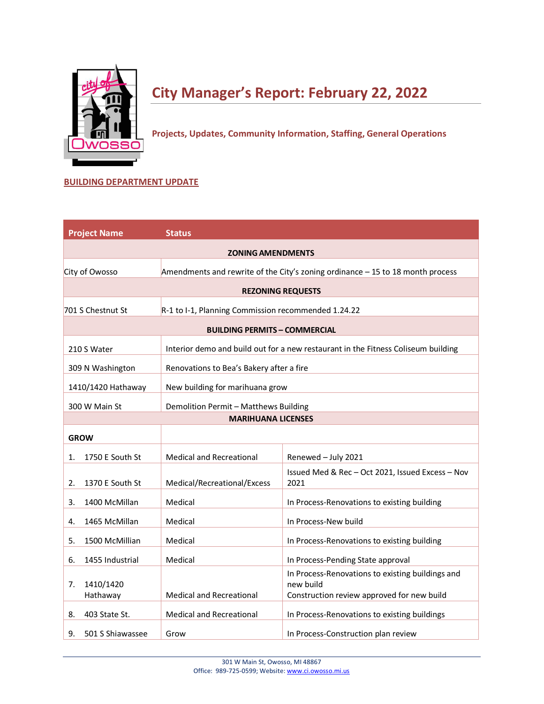

# **City Manager's Report: February 22, 2022**

**Projects, Updates, Community Information, Staffing, General Operations**

## **BUILDING DEPARTMENT UPDATE**

| <b>Project Name</b>    | <b>Status</b>                                       |                                                                                   |
|------------------------|-----------------------------------------------------|-----------------------------------------------------------------------------------|
|                        | <b>ZONING AMENDMENTS</b>                            |                                                                                   |
| City of Owosso         |                                                     | Amendments and rewrite of the City's zoning ordinance $-15$ to 18 month process   |
|                        |                                                     | <b>REZONING REQUESTS</b>                                                          |
| 701 S Chestnut St      | R-1 to I-1, Planning Commission recommended 1.24.22 |                                                                                   |
|                        | <b>BUILDING PERMITS - COMMERCIAL</b>                |                                                                                   |
| 210 S Water            |                                                     | Interior demo and build out for a new restaurant in the Fitness Coliseum building |
|                        |                                                     |                                                                                   |
| 309 N Washington       | Renovations to Bea's Bakery after a fire            |                                                                                   |
| 1410/1420 Hathaway     | New building for marihuana grow                     |                                                                                   |
| 300 W Main St          | Demolition Permit - Matthews Building               |                                                                                   |
|                        | <b>MARIHUANA LICENSES</b>                           |                                                                                   |
| <b>GROW</b>            |                                                     |                                                                                   |
| 1750 E South St<br>1.  | <b>Medical and Recreational</b>                     | Renewed - July 2021                                                               |
| 1370 E South St<br>2.  | Medical/Recreational/Excess                         | Issued Med & Rec - Oct 2021, Issued Excess - Nov<br>2021                          |
| 1400 McMillan<br>3.    | Medical                                             | In Process-Renovations to existing building                                       |
| 1465 McMillan<br>4.    | Medical                                             | In Process-New build                                                              |
| 1500 McMillian<br>5.   | Medical                                             | In Process-Renovations to existing building                                       |
| 1455 Industrial<br>6.  | Medical                                             | In Process-Pending State approval                                                 |
| 1410/1420<br>7.        |                                                     | In Process-Renovations to existing buildings and<br>new build                     |
| Hathaway               | <b>Medical and Recreational</b>                     | Construction review approved for new build                                        |
| 403 State St.<br>8.    | <b>Medical and Recreational</b>                     | In Process-Renovations to existing buildings                                      |
| 501 S Shiawassee<br>9. | Grow                                                | In Process-Construction plan review                                               |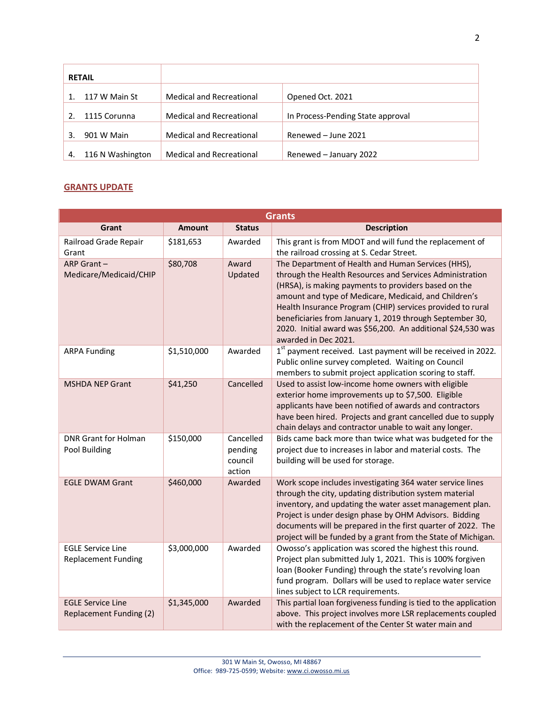| <b>RETAIL</b> |                  |                                 |                                   |
|---------------|------------------|---------------------------------|-----------------------------------|
|               | 117 W Main St    | Medical and Recreational        | Opened Oct. 2021                  |
|               | 1115 Corunna     | Medical and Recreational        | In Process-Pending State approval |
| 3.            | 901 W Main       | <b>Medical and Recreational</b> | Renewed - June 2021               |
| 4.            | 116 N Washington | <b>Medical and Recreational</b> | Renewed - January 2022            |

## **GRANTS UPDATE**

| <b>Grants</b>                                          |               |                                           |                                                                                                                                                                                                                                                                                                                                                                                                                                                   |  |
|--------------------------------------------------------|---------------|-------------------------------------------|---------------------------------------------------------------------------------------------------------------------------------------------------------------------------------------------------------------------------------------------------------------------------------------------------------------------------------------------------------------------------------------------------------------------------------------------------|--|
| Grant                                                  | <b>Amount</b> | <b>Status</b>                             | <b>Description</b>                                                                                                                                                                                                                                                                                                                                                                                                                                |  |
| Railroad Grade Repair<br>Grant                         | \$181,653     | Awarded                                   | This grant is from MDOT and will fund the replacement of<br>the railroad crossing at S. Cedar Street.                                                                                                                                                                                                                                                                                                                                             |  |
| ARP Grant-<br>Medicare/Medicaid/CHIP                   | \$80,708      | Award<br>Updated                          | The Department of Health and Human Services (HHS),<br>through the Health Resources and Services Administration<br>(HRSA), is making payments to providers based on the<br>amount and type of Medicare, Medicaid, and Children's<br>Health Insurance Program (CHIP) services provided to rural<br>beneficiaries from January 1, 2019 through September 30,<br>2020. Initial award was \$56,200. An additional \$24,530 was<br>awarded in Dec 2021. |  |
| <b>ARPA Funding</b>                                    | \$1,510,000   | Awarded                                   | 1st payment received. Last payment will be received in 2022.<br>Public online survey completed. Waiting on Council<br>members to submit project application scoring to staff.                                                                                                                                                                                                                                                                     |  |
| <b>MSHDA NEP Grant</b>                                 | \$41,250      | Cancelled                                 | Used to assist low-income home owners with eligible<br>exterior home improvements up to \$7,500. Eligible<br>applicants have been notified of awards and contractors<br>have been hired. Projects and grant cancelled due to supply<br>chain delays and contractor unable to wait any longer.                                                                                                                                                     |  |
| <b>DNR Grant for Holman</b><br>Pool Building           | \$150,000     | Cancelled<br>pending<br>council<br>action | Bids came back more than twice what was budgeted for the<br>project due to increases in labor and material costs. The<br>building will be used for storage.                                                                                                                                                                                                                                                                                       |  |
| <b>EGLE DWAM Grant</b>                                 | \$460,000     | Awarded                                   | Work scope includes investigating 364 water service lines<br>through the city, updating distribution system material<br>inventory, and updating the water asset management plan.<br>Project is under design phase by OHM Advisors. Bidding<br>documents will be prepared in the first quarter of 2022. The<br>project will be funded by a grant from the State of Michigan.                                                                       |  |
| <b>EGLE Service Line</b><br><b>Replacement Funding</b> | \$3,000,000   | Awarded                                   | Owosso's application was scored the highest this round.<br>Project plan submitted July 1, 2021. This is 100% forgiven<br>loan (Booker Funding) through the state's revolving loan<br>fund program. Dollars will be used to replace water service<br>lines subject to LCR requirements.                                                                                                                                                            |  |
| <b>EGLE Service Line</b><br>Replacement Funding (2)    | \$1,345,000   | Awarded                                   | This partial loan forgiveness funding is tied to the application<br>above. This project involves more LSR replacements coupled<br>with the replacement of the Center St water main and                                                                                                                                                                                                                                                            |  |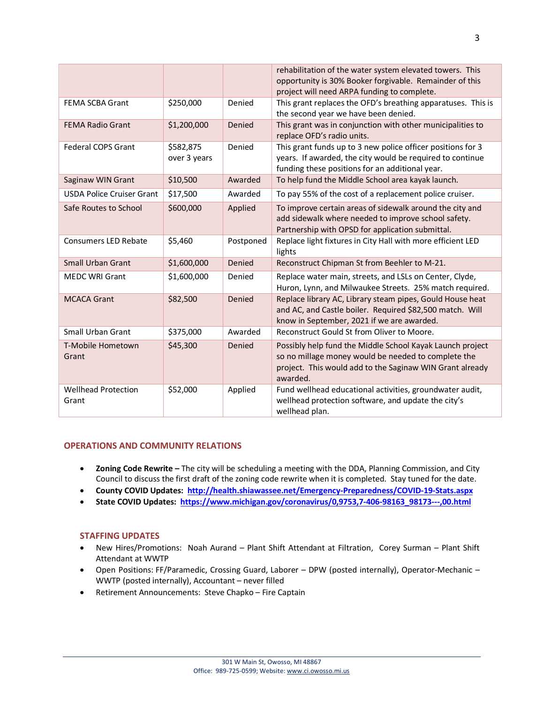|                                     |                           |           | rehabilitation of the water system elevated towers. This<br>opportunity is 30% Booker forgivable. Remainder of this<br>project will need ARPA funding to complete.                       |
|-------------------------------------|---------------------------|-----------|------------------------------------------------------------------------------------------------------------------------------------------------------------------------------------------|
| <b>FEMA SCBA Grant</b>              | \$250,000                 | Denied    | This grant replaces the OFD's breathing apparatuses. This is<br>the second year we have been denied.                                                                                     |
| <b>FEMA Radio Grant</b>             | \$1,200,000               | Denied    | This grant was in conjunction with other municipalities to<br>replace OFD's radio units.                                                                                                 |
| <b>Federal COPS Grant</b>           | \$582,875<br>over 3 years | Denied    | This grant funds up to 3 new police officer positions for 3<br>years. If awarded, the city would be required to continue<br>funding these positions for an additional year.              |
| Saginaw WIN Grant                   | \$10,500                  | Awarded   | To help fund the Middle School area kayak launch.                                                                                                                                        |
| <b>USDA Police Cruiser Grant</b>    | \$17,500                  | Awarded   | To pay 55% of the cost of a replacement police cruiser.                                                                                                                                  |
| Safe Routes to School               | \$600,000                 | Applied   | To improve certain areas of sidewalk around the city and<br>add sidewalk where needed to improve school safety.<br>Partnership with OPSD for application submittal.                      |
| Consumers LED Rebate                | \$5,460                   | Postponed | Replace light fixtures in City Hall with more efficient LED<br>lights                                                                                                                    |
| Small Urban Grant                   | \$1,600,000               | Denied    | Reconstruct Chipman St from Beehler to M-21.                                                                                                                                             |
| <b>MEDC WRI Grant</b>               | \$1,600,000               | Denied    | Replace water main, streets, and LSLs on Center, Clyde,<br>Huron, Lynn, and Milwaukee Streets. 25% match required.                                                                       |
| <b>MCACA Grant</b>                  | \$82,500                  | Denied    | Replace library AC, Library steam pipes, Gould House heat<br>and AC, and Castle boiler. Required \$82,500 match. Will<br>know in September, 2021 if we are awarded.                      |
| <b>Small Urban Grant</b>            | \$375,000                 | Awarded   | Reconstruct Gould St from Oliver to Moore.                                                                                                                                               |
| T-Mobile Hometown<br>Grant          | \$45,300                  | Denied    | Possibly help fund the Middle School Kayak Launch project<br>so no millage money would be needed to complete the<br>project. This would add to the Saginaw WIN Grant already<br>awarded. |
| <b>Wellhead Protection</b><br>Grant | \$52,000                  | Applied   | Fund wellhead educational activities, groundwater audit,<br>wellhead protection software, and update the city's<br>wellhead plan.                                                        |

### **OPERATIONS AND COMMUNITY RELATIONS**

- **Zoning Code Rewrite –** The city will be scheduling a meeting with the DDA, Planning Commission, and City Council to discuss the first draft of the zoning code rewrite when it is completed. Stay tuned for the date.
- **County COVID Updates: <http://health.shiawassee.net/Emergency-Preparedness/COVID-19-Stats.aspx>**
- **State COVID Updates: [https://www.michigan.gov/coronavirus/0,9753,7-406-98163\\_98173---,00.html](https://www.michigan.gov/coronavirus/0,9753,7-406-98163_98173---,00.html)**

#### **STAFFING UPDATES**

- New Hires/Promotions: Noah Aurand Plant Shift Attendant at Filtration, Corey Surman Plant Shift Attendant at WWTP
- Open Positions: FF/Paramedic, Crossing Guard, Laborer DPW (posted internally), Operator-Mechanic WWTP (posted internally), Accountant – never filled
- Retirement Announcements: Steve Chapko Fire Captain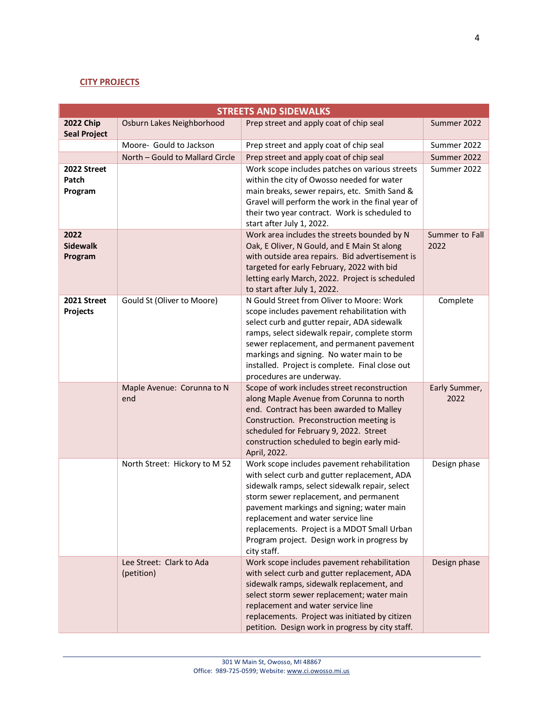## **CITY PROJECTS**

| <b>STREETS AND SIDEWALKS</b>            |                                        |                                                                                                                                                                                                                                                                                                                                                                                         |                        |
|-----------------------------------------|----------------------------------------|-----------------------------------------------------------------------------------------------------------------------------------------------------------------------------------------------------------------------------------------------------------------------------------------------------------------------------------------------------------------------------------------|------------------------|
| <b>2022 Chip</b><br><b>Seal Project</b> | Osburn Lakes Neighborhood              | Prep street and apply coat of chip seal                                                                                                                                                                                                                                                                                                                                                 | Summer 2022            |
|                                         | Moore- Gould to Jackson                | Prep street and apply coat of chip seal                                                                                                                                                                                                                                                                                                                                                 | Summer 2022            |
|                                         | North - Gould to Mallard Circle        | Prep street and apply coat of chip seal                                                                                                                                                                                                                                                                                                                                                 | Summer 2022            |
| 2022 Street<br>Patch<br>Program         |                                        | Work scope includes patches on various streets<br>within the city of Owosso needed for water<br>main breaks, sewer repairs, etc. Smith Sand &<br>Gravel will perform the work in the final year of<br>their two year contract. Work is scheduled to<br>start after July 1, 2022.                                                                                                        | Summer 2022            |
| 2022<br><b>Sidewalk</b><br>Program      |                                        | Work area includes the streets bounded by N<br>Oak, E Oliver, N Gould, and E Main St along<br>with outside area repairs. Bid advertisement is<br>targeted for early February, 2022 with bid<br>letting early March, 2022. Project is scheduled<br>to start after July 1, 2022.                                                                                                          | Summer to Fall<br>2022 |
| 2021 Street<br>Projects                 | Gould St (Oliver to Moore)             | N Gould Street from Oliver to Moore: Work<br>scope includes pavement rehabilitation with<br>select curb and gutter repair, ADA sidewalk<br>ramps, select sidewalk repair, complete storm<br>sewer replacement, and permanent pavement<br>markings and signing. No water main to be<br>installed. Project is complete. Final close out<br>procedures are underway.                       | Complete               |
|                                         | Maple Avenue: Corunna to N<br>end      | Scope of work includes street reconstruction<br>along Maple Avenue from Corunna to north<br>end. Contract has been awarded to Malley<br>Construction. Preconstruction meeting is<br>scheduled for February 9, 2022. Street<br>construction scheduled to begin early mid-<br>April, 2022.                                                                                                | Early Summer,<br>2022  |
|                                         | North Street: Hickory to M 52          | Work scope includes pavement rehabilitation<br>with select curb and gutter replacement, ADA<br>sidewalk ramps, select sidewalk repair, select<br>storm sewer replacement, and permanent<br>pavement markings and signing; water main<br>replacement and water service line<br>replacements. Project is a MDOT Small Urban<br>Program project. Design work in progress by<br>city staff. | Design phase           |
|                                         | Lee Street: Clark to Ada<br>(petition) | Work scope includes pavement rehabilitation<br>with select curb and gutter replacement, ADA<br>sidewalk ramps, sidewalk replacement, and<br>select storm sewer replacement; water main<br>replacement and water service line<br>replacements. Project was initiated by citizen<br>petition. Design work in progress by city staff.                                                      | Design phase           |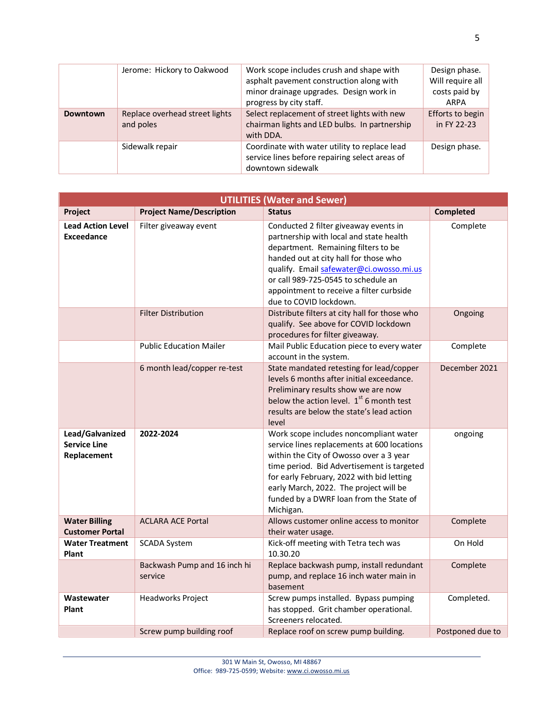|                 | Jerome: Hickory to Oakwood                  | Work scope includes crush and shape with<br>asphalt pavement construction along with<br>minor drainage upgrades. Design work in<br>progress by city staff. | Design phase.<br>Will require all<br>costs paid by<br>ARPA |
|-----------------|---------------------------------------------|------------------------------------------------------------------------------------------------------------------------------------------------------------|------------------------------------------------------------|
| <b>Downtown</b> | Replace overhead street lights<br>and poles | Select replacement of street lights with new<br>chairman lights and LED bulbs. In partnership<br>with DDA.                                                 | Efforts to begin<br>in FY 22-23                            |
|                 | Sidewalk repair                             | Coordinate with water utility to replace lead<br>service lines before repairing select areas of<br>downtown sidewalk                                       | Design phase.                                              |

|                                                       | <b>UTILITIES (Water and Sewer)</b>      |                                                                                                                                                                                                                                                                                                                               |                  |  |
|-------------------------------------------------------|-----------------------------------------|-------------------------------------------------------------------------------------------------------------------------------------------------------------------------------------------------------------------------------------------------------------------------------------------------------------------------------|------------------|--|
| Project                                               | <b>Project Name/Description</b>         | <b>Status</b>                                                                                                                                                                                                                                                                                                                 | <b>Completed</b> |  |
| <b>Lead Action Level</b><br>Exceedance                | Filter giveaway event                   | Conducted 2 filter giveaway events in<br>partnership with local and state health<br>department. Remaining filters to be<br>handed out at city hall for those who<br>qualify. Email safewater@ci.owosso.mi.us<br>or call 989-725-0545 to schedule an<br>appointment to receive a filter curbside<br>due to COVID lockdown.     | Complete         |  |
|                                                       | <b>Filter Distribution</b>              | Distribute filters at city hall for those who<br>qualify. See above for COVID lockdown<br>procedures for filter giveaway.                                                                                                                                                                                                     | Ongoing          |  |
|                                                       | <b>Public Education Mailer</b>          | Mail Public Education piece to every water<br>account in the system.                                                                                                                                                                                                                                                          | Complete         |  |
|                                                       | 6 month lead/copper re-test             | State mandated retesting for lead/copper<br>levels 6 months after initial exceedance.<br>Preliminary results show we are now<br>below the action level. $1st$ 6 month test<br>results are below the state's lead action<br>level                                                                                              | December 2021    |  |
| Lead/Galvanized<br><b>Service Line</b><br>Replacement | 2022-2024                               | Work scope includes noncompliant water<br>service lines replacements at 600 locations<br>within the City of Owosso over a 3 year<br>time period. Bid Advertisement is targeted<br>for early February, 2022 with bid letting<br>early March, 2022. The project will be<br>funded by a DWRF loan from the State of<br>Michigan. | ongoing          |  |
| <b>Water Billing</b><br><b>Customer Portal</b>        | <b>ACLARA ACE Portal</b>                | Allows customer online access to monitor<br>their water usage.                                                                                                                                                                                                                                                                | Complete         |  |
| <b>Water Treatment</b><br>Plant                       | <b>SCADA System</b>                     | Kick-off meeting with Tetra tech was<br>10.30.20                                                                                                                                                                                                                                                                              | On Hold          |  |
|                                                       | Backwash Pump and 16 inch hi<br>service | Replace backwash pump, install redundant<br>pump, and replace 16 inch water main in<br>basement                                                                                                                                                                                                                               | Complete         |  |
| Wastewater<br>Plant                                   | <b>Headworks Project</b>                | Screw pumps installed. Bypass pumping<br>has stopped. Grit chamber operational.<br>Screeners relocated.                                                                                                                                                                                                                       | Completed.       |  |
|                                                       | Screw pump building roof                | Replace roof on screw pump building.                                                                                                                                                                                                                                                                                          | Postponed due to |  |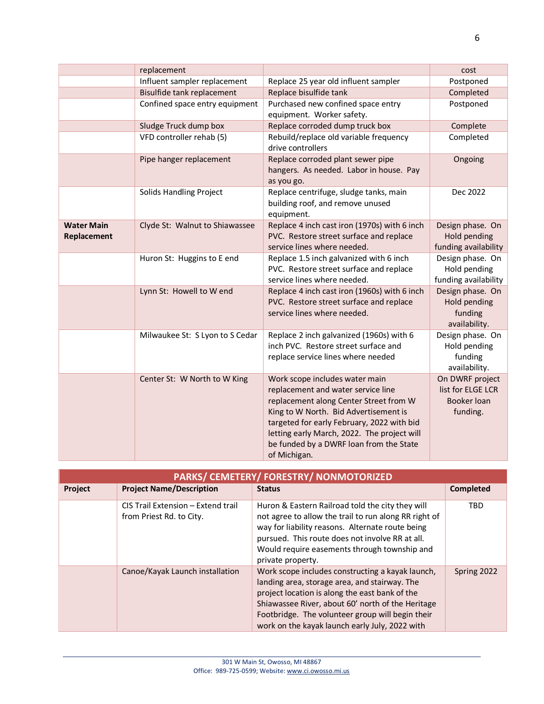|                                  | replacement                     |                                                                                                                                                                                                                                                                                                                 | cost                                                                   |
|----------------------------------|---------------------------------|-----------------------------------------------------------------------------------------------------------------------------------------------------------------------------------------------------------------------------------------------------------------------------------------------------------------|------------------------------------------------------------------------|
|                                  | Influent sampler replacement    | Replace 25 year old influent sampler                                                                                                                                                                                                                                                                            | Postponed                                                              |
|                                  | Bisulfide tank replacement      | Replace bisulfide tank                                                                                                                                                                                                                                                                                          | Completed                                                              |
|                                  | Confined space entry equipment  | Purchased new confined space entry                                                                                                                                                                                                                                                                              | Postponed                                                              |
|                                  |                                 | equipment. Worker safety.                                                                                                                                                                                                                                                                                       |                                                                        |
|                                  | Sludge Truck dump box           | Replace corroded dump truck box                                                                                                                                                                                                                                                                                 | Complete                                                               |
|                                  | VFD controller rehab (5)        | Rebuild/replace old variable frequency<br>drive controllers                                                                                                                                                                                                                                                     | Completed                                                              |
|                                  | Pipe hanger replacement         | Replace corroded plant sewer pipe<br>hangers. As needed. Labor in house. Pay<br>as you go.                                                                                                                                                                                                                      | Ongoing                                                                |
|                                  | Solids Handling Project         | Replace centrifuge, sludge tanks, main<br>building roof, and remove unused<br>equipment.                                                                                                                                                                                                                        | Dec 2022                                                               |
| <b>Water Main</b><br>Replacement | Clyde St: Walnut to Shiawassee  | Replace 4 inch cast iron (1970s) with 6 inch<br>PVC. Restore street surface and replace<br>service lines where needed.                                                                                                                                                                                          | Design phase. On<br>Hold pending<br>funding availability               |
|                                  | Huron St: Huggins to E end      | Replace 1.5 inch galvanized with 6 inch<br>PVC. Restore street surface and replace<br>service lines where needed.                                                                                                                                                                                               | Design phase. On<br>Hold pending<br>funding availability               |
|                                  | Lynn St: Howell to W end        | Replace 4 inch cast iron (1960s) with 6 inch<br>PVC. Restore street surface and replace<br>service lines where needed.                                                                                                                                                                                          | Design phase. On<br>Hold pending<br>funding<br>availability.           |
|                                  | Milwaukee St: S Lyon to S Cedar | Replace 2 inch galvanized (1960s) with 6<br>inch PVC. Restore street surface and<br>replace service lines where needed                                                                                                                                                                                          | Design phase. On<br>Hold pending<br>funding<br>availability.           |
|                                  | Center St: W North to W King    | Work scope includes water main<br>replacement and water service line<br>replacement along Center Street from W<br>King to W North. Bid Advertisement is<br>targeted for early February, 2022 with bid<br>letting early March, 2022. The project will<br>be funded by a DWRF loan from the State<br>of Michigan. | On DWRF project<br>list for ELGE LCR<br><b>Booker loan</b><br>funding. |

| PARKS/ CEMETERY/ FORESTRY/ NONMOTORIZED |                                                                |                                                                                                                                                                                                                                                                                                                |             |
|-----------------------------------------|----------------------------------------------------------------|----------------------------------------------------------------------------------------------------------------------------------------------------------------------------------------------------------------------------------------------------------------------------------------------------------------|-------------|
| Project                                 | <b>Project Name/Description</b>                                | <b>Status</b>                                                                                                                                                                                                                                                                                                  | Completed   |
|                                         | CIS Trail Extension - Extend trail<br>from Priest Rd. to City. | Huron & Eastern Railroad told the city they will<br>not agree to allow the trail to run along RR right of<br>way for liability reasons. Alternate route being<br>pursued. This route does not involve RR at all.<br>Would require easements through township and<br>private property.                          | <b>TBD</b>  |
|                                         | Canoe/Kayak Launch installation                                | Work scope includes constructing a kayak launch,<br>landing area, storage area, and stairway. The<br>project location is along the east bank of the<br>Shiawassee River, about 60' north of the Heritage<br>Footbridge. The volunteer group will begin their<br>work on the kayak launch early July, 2022 with | Spring 2022 |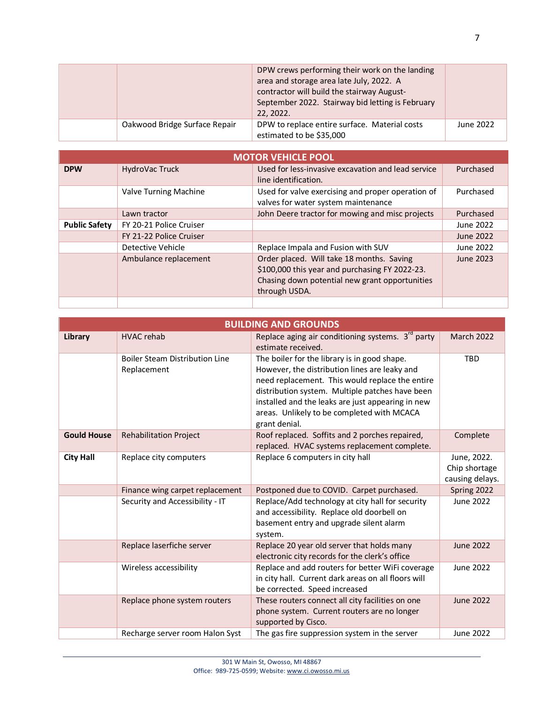|                               | DPW crews performing their work on the landing<br>area and storage area late July, 2022. A<br>contractor will build the stairway August-<br>September 2022. Stairway bid letting is February<br>22, 2022. |           |
|-------------------------------|-----------------------------------------------------------------------------------------------------------------------------------------------------------------------------------------------------------|-----------|
| Oakwood Bridge Surface Repair | DPW to replace entire surface. Material costs<br>estimated to be \$35,000                                                                                                                                 | June 2022 |

| <b>MOTOR VEHICLE POOL</b> |                         |                                                                                             |           |  |
|---------------------------|-------------------------|---------------------------------------------------------------------------------------------|-----------|--|
| <b>DPW</b>                | HydroVac Truck          | Used for less-invasive excavation and lead service                                          | Purchased |  |
|                           |                         | line identification.                                                                        |           |  |
|                           | Valve Turning Machine   | Used for valve exercising and proper operation of                                           | Purchased |  |
|                           |                         | valves for water system maintenance                                                         |           |  |
|                           | Lawn tractor            | John Deere tractor for mowing and misc projects                                             | Purchased |  |
| <b>Public Safety</b>      | FY 20-21 Police Cruiser |                                                                                             | June 2022 |  |
|                           | FY 21-22 Police Cruiser |                                                                                             | June 2022 |  |
|                           | Detective Vehicle       | Replace Impala and Fusion with SUV                                                          | June 2022 |  |
|                           | Ambulance replacement   | Order placed. Will take 18 months. Saving<br>\$100,000 this year and purchasing FY 2022-23. | June 2023 |  |
|                           |                         | Chasing down potential new grant opportunities                                              |           |  |
|                           |                         | through USDA.                                                                               |           |  |
|                           |                         |                                                                                             |           |  |

|                    | <b>BUILDING AND GROUNDS</b>                          |                                                                                                                                                                                                                                                                                                                         |                                                 |  |
|--------------------|------------------------------------------------------|-------------------------------------------------------------------------------------------------------------------------------------------------------------------------------------------------------------------------------------------------------------------------------------------------------------------------|-------------------------------------------------|--|
| Library            | <b>HVAC rehab</b>                                    | Replace aging air conditioning systems. $3rd$ party<br>estimate received.                                                                                                                                                                                                                                               | <b>March 2022</b>                               |  |
|                    | <b>Boiler Steam Distribution Line</b><br>Replacement | The boiler for the library is in good shape.<br>However, the distribution lines are leaky and<br>need replacement. This would replace the entire<br>distribution system. Multiple patches have been<br>installed and the leaks are just appearing in new<br>areas. Unlikely to be completed with MCACA<br>grant denial. | <b>TBD</b>                                      |  |
| <b>Gould House</b> | <b>Rehabilitation Project</b>                        | Roof replaced. Soffits and 2 porches repaired,<br>replaced. HVAC systems replacement complete.                                                                                                                                                                                                                          | Complete                                        |  |
| <b>City Hall</b>   | Replace city computers                               | Replace 6 computers in city hall                                                                                                                                                                                                                                                                                        | June, 2022.<br>Chip shortage<br>causing delays. |  |
|                    | Finance wing carpet replacement                      | Postponed due to COVID. Carpet purchased.                                                                                                                                                                                                                                                                               | Spring 2022                                     |  |
|                    | Security and Accessibility - IT                      | Replace/Add technology at city hall for security<br>and accessibility. Replace old doorbell on<br>basement entry and upgrade silent alarm<br>system.                                                                                                                                                                    | June 2022                                       |  |
|                    | Replace laserfiche server                            | Replace 20 year old server that holds many<br>electronic city records for the clerk's office                                                                                                                                                                                                                            | June 2022                                       |  |
|                    | Wireless accessibility                               | Replace and add routers for better WiFi coverage<br>in city hall. Current dark areas on all floors will<br>be corrected. Speed increased                                                                                                                                                                                | June 2022                                       |  |
|                    | Replace phone system routers                         | These routers connect all city facilities on one<br>phone system. Current routers are no longer<br>supported by Cisco.                                                                                                                                                                                                  | <b>June 2022</b>                                |  |
|                    | Recharge server room Halon Syst                      | The gas fire suppression system in the server                                                                                                                                                                                                                                                                           | June 2022                                       |  |